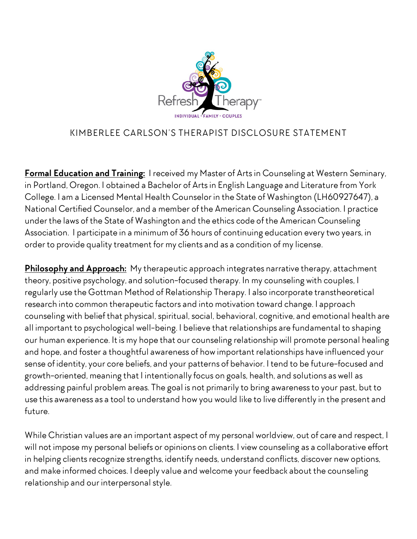

## KIMBERLEE CARLSON'S THERAPIST DISCLOSURE STATEMENT

**Formal Education and Training:** I received my Master of Artsin Counseling at Western Seminary, in Portland, Oregon. I obtained a Bachelor of Artsin English Language and Literature from York College. I am a Licensed Mental Health Counselor in the State of Washington (LH60927647), a National Certified Counselor, and a member of the American Counseling Association. I practice under the laws of the State of Washington and the ethics code of the American Counseling Association. I participate in a minimum of 36 hours of continuing education every two years, in order to provide quality treatment for my clients and as a condition of my license.

**Philosophy and Approach:** My therapeutic approach integrates narrative therapy, attachment theory, positive psychology, and solution-focused therapy. In my counseling with couples, I regularly use the Gottman Method of Relationship Therapy. I also incorporate transtheoretical research into common therapeutic factors and into motivation toward change. I approach counseling with belief that physical, spiritual, social, behavioral, cognitive, and emotional health are all important to psychological well-being. I believe that relationships are fundamental to shaping our human experience. It is my hope that our counseling relationship will promote personal healing and hope, and foster a thoughtful awareness of how important relationships have influenced your sense of identity, your core beliefs, and your patterns of behavior. I tend to be future-focused and growth-oriented, meaning that I intentionally focus on goals, health, and solutions as well as addressing painful problem areas. The goal is not primarily to bring awarenessto your past, but to use this awareness as a tool to understand how you would like to live differently in the present and future.

While Christian values are an important aspect of my personal worldview, out of care and respect, I will not impose my personal beliefs or opinions on clients. I view counseling as a collaborative effort in helping clients recognize strengths, identify needs, understand conflicts, discover new options, and make informed choices. I deeply value and welcome your feedback about the counseling relationship and our interpersonalstyle.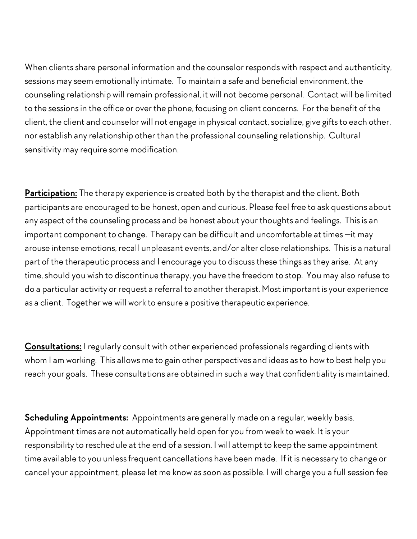When clients share personal information and the counselor responds with respect and authenticity, sessions may seem emotionally intimate. To maintain a safe and beneficial environment, the counseling relationship will remain professional, it will not become personal. Contact will be limited to the sessionsin the office or over the phone, focusing on client concerns. For the benefit of the client, the client and counselor will not engage in physical contact, socialize, give gifts to each other, nor establish any relationship other than the professional counseling relationship. Cultural sensitivity may require some modification.

**Participation:** The therapy experience is created both by the therapist and the client. Both participants are encouraged to be honest, open and curious. Please feel free to ask questions about any aspect of the counseling process and be honest about your thoughts and feelings. This is an important component to change. Therapy can be difficult and uncomfortable at times —it may arouse intense emotions, recall unpleasant events, and/or alter close relationships. This is a natural part of the therapeutic process and I encourage you to discussthese things asthey arise. At any time, should you wish to discontinue therapy, you have the freedom to stop. You may also refuse to do a particular activity or request a referral to another therapist. Most important is your experience as a client. Together we will work to ensure a positive therapeutic experience.

**Consultations:** I regularly consult with other experienced professionals regarding clients with whom I am working. This allows me to gain other perspectives and ideas asto how to best help you reach your goals. These consultations are obtained in such a way that confidentiality is maintained.

**Scheduling Appointments:** Appointments are generally made on a regular, weekly basis. Appointment times are not automatically held open for you from week to week. It is your responsibility to reschedule at the end of a session. I will attempt to keep the same appointment time available to you unless frequent cancellations have been made. If it is necessary to change or cancel your appointment, please let me know assoon as possible. I will charge you a full session fee